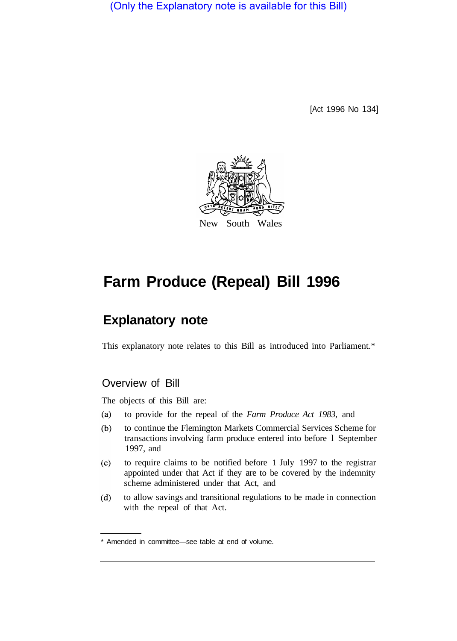(Only the Explanatory note is available for this Bill)

[Act 1996 No 134]



## **Farm Produce (Repeal) Bill 1996**

## **Explanatory note**

This explanatory note relates to this Bill as introduced into Parliament.\*

## Overview of Bill

The objects of this Bill are:

- to provide for the repeal of the *Farm Produce Act 1983,* and  $(a)$
- $(b)$ to continue the Flemington Markets Commercial Services Scheme for transactions involving farm produce entered into before l September 1997, and
- $(c)$ to require claims to be notified before 1 July 1997 to the registrar appointed under that Act if they are to be covered by the indemnity scheme administered under that Act, and
- $(d)$ to allow savings and transitional regulations to be made in connection with the repeal of that Act.

<sup>\*</sup> Amended in committee—see table at end of volume.